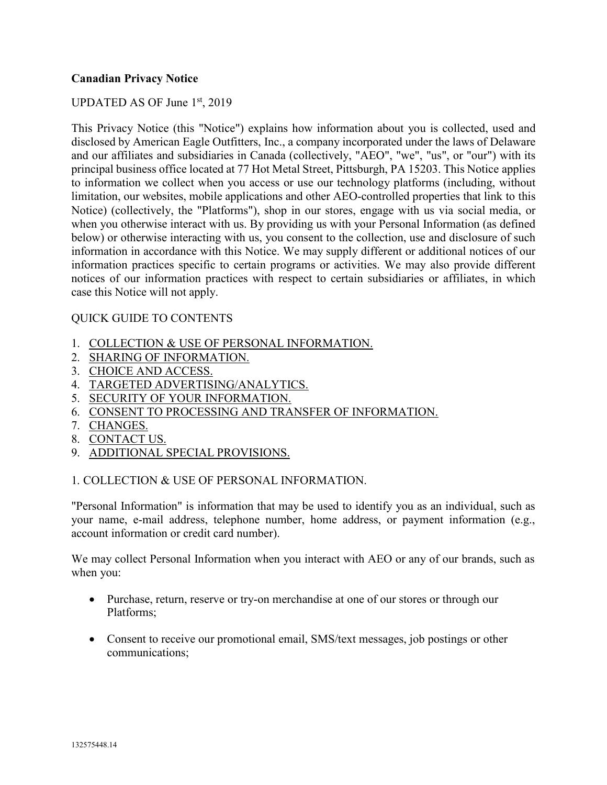## **Canadian Privacy Notice**

### UPDATED AS OF June 1st, 2019

This Privacy Notice (this "Notice") explains how information about you is collected, used and disclosed by American Eagle Outfitters, Inc., a company incorporated under the laws of Delaware and our affiliates and subsidiaries in Canada (collectively, "AEO", "we", "us", or "our") with its principal business office located at 77 Hot Metal Street, Pittsburgh, PA 15203. This Notice applies to information we collect when you access or use our technology platforms (including, without limitation, our websites, mobile applications and other AEO-controlled properties that link to this Notice) (collectively, the "Platforms"), shop in our stores, engage with us via social media, or when you otherwise interact with us. By providing us with your Personal Information (as defined below) or otherwise interacting with us, you consent to the collection, use and disclosure of such information in accordance with this Notice. We may supply different or additional notices of our information practices specific to certain programs or activities. We may also provide different notices of our information practices with respect to certain subsidiaries or affiliates, in which case this Notice will not apply.

### QUICK GUIDE TO CONTENTS

- 1. COLLECTION & USE OF PERSONAL INFORMATION.
- 2. SHARING OF INFORMATION.
- 3. CHOICE AND ACCESS.
- 4. TARGETED ADVERTISING/ANALYTICS.
- 5. SECURITY OF YOUR INFORMATION.
- 6. CONSENT TO PROCESSING AND TRANSFER OF INFORMATION.
- 7. CHANGES.
- 8. CONTACT US.
- 9. ADDITIONAL SPECIAL PROVISIONS.

### 1. COLLECTION & USE OF PERSONAL INFORMATION.

"Personal Information" is information that may be used to identify you as an individual, such as your name, e-mail address, telephone number, home address, or payment information (e.g., account information or credit card number).

We may collect Personal Information when you interact with AEO or any of our brands, such as when you:

- Purchase, return, reserve or try-on merchandise at one of our stores or through our Platforms;
- Consent to receive our promotional email, SMS/text messages, job postings or other communications;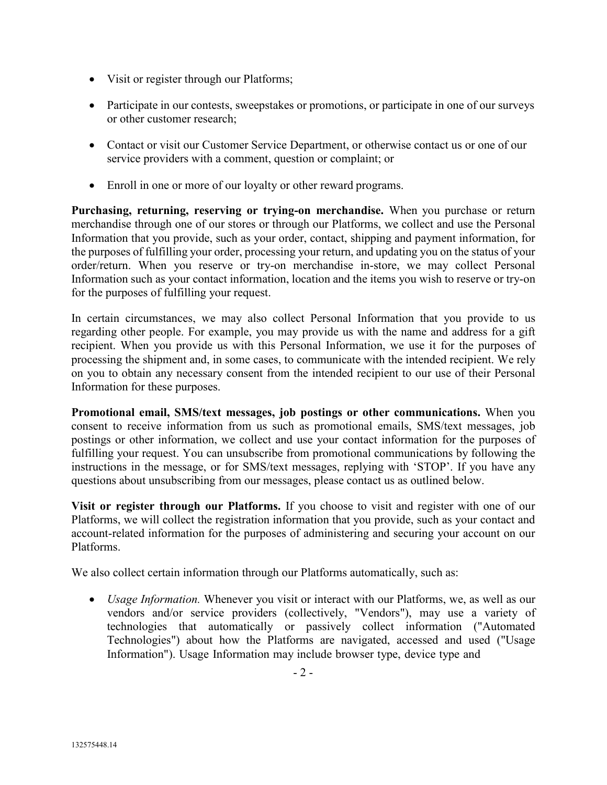- Visit or register through our Platforms;
- Participate in our contests, sweepstakes or promotions, or participate in one of our surveys or other customer research;
- Contact or visit our Customer Service Department, or otherwise contact us or one of our service providers with a comment, question or complaint; or
- Enroll in one or more of our loyalty or other reward programs.

**Purchasing, returning, reserving or trying-on merchandise.** When you purchase or return merchandise through one of our stores or through our Platforms, we collect and use the Personal Information that you provide, such as your order, contact, shipping and payment information, for the purposes of fulfilling your order, processing your return, and updating you on the status of your order/return. When you reserve or try-on merchandise in-store, we may collect Personal Information such as your contact information, location and the items you wish to reserve or try-on for the purposes of fulfilling your request.

In certain circumstances, we may also collect Personal Information that you provide to us regarding other people. For example, you may provide us with the name and address for a gift recipient. When you provide us with this Personal Information, we use it for the purposes of processing the shipment and, in some cases, to communicate with the intended recipient. We rely on you to obtain any necessary consent from the intended recipient to our use of their Personal Information for these purposes.

**Promotional email, SMS/text messages, job postings or other communications.** When you consent to receive information from us such as promotional emails, SMS/text messages, job postings or other information, we collect and use your contact information for the purposes of fulfilling your request. You can unsubscribe from promotional communications by following the instructions in the message, or for SMS/text messages, replying with 'STOP'. If you have any questions about unsubscribing from our messages, please contact us as outlined below.

**Visit or register through our Platforms.** If you choose to visit and register with one of our Platforms, we will collect the registration information that you provide, such as your contact and account-related information for the purposes of administering and securing your account on our Platforms.

We also collect certain information through our Platforms automatically, such as:

• *Usage Information.* Whenever you visit or interact with our Platforms, we, as well as our vendors and/or service providers (collectively, "Vendors"), may use a variety of technologies that automatically or passively collect information ("Automated Technologies") about how the Platforms are navigated, accessed and used ("Usage Information"). Usage Information may include browser type, device type and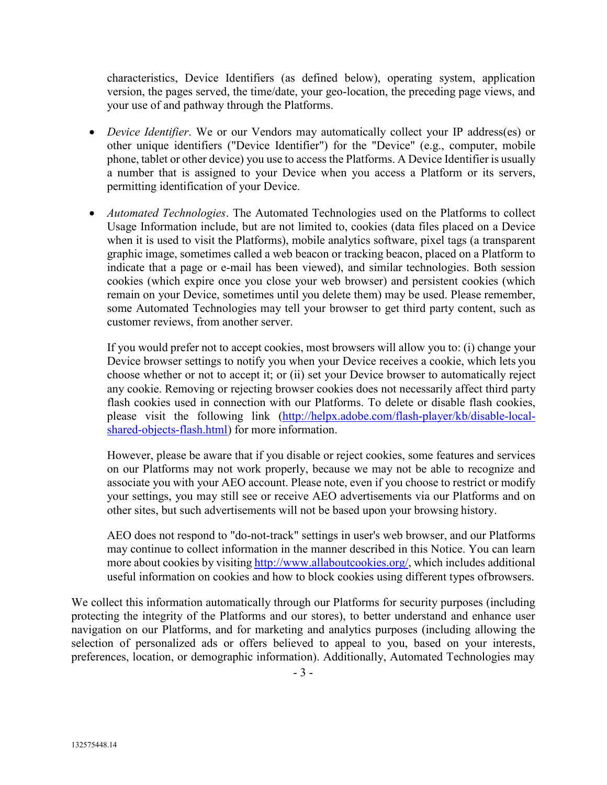characteristics, Device Identifiers (as defined below), operating system, application version, the pages served, the time/date, your geo-location, the preceding page views, and your use of and pathway through the Platforms.

- *Device Identifier*. We or our Vendors may automatically collect your IP address(es) or other unique identifiers ("Device Identifier") for the "Device" (e.g., computer, mobile phone, tablet or other device) you use to access the Platforms. A Device Identifier is usually a number that is assigned to your Device when you access a Platform or its servers, permitting identification of your Device.
- *Automated Technologies*. The Automated Technologies used on the Platforms to collect Usage Information include, but are not limited to, cookies (data files placed on a Device when it is used to visit the Platforms), mobile analytics software, pixel tags (a transparent graphic image, sometimes called a web beacon or tracking beacon, placed on a Platform to indicate that a page or e-mail has been viewed), and similar technologies. Both session cookies (which expire once you close your web browser) and persistent cookies (which remain on your Device, sometimes until you delete them) may be used. Please remember, some Automated Technologies may tell your browser to get third party content, such as customer reviews, from another server.

If you would prefer not to accept cookies, most browsers will allow you to: (i) change your Device browser settings to notify you when your Device receives a cookie, which lets you choose whether or not to accept it; or (ii) set your Device browser to automatically reject any cookie. Removing or rejecting browser cookies does not necessarily affect third party flash cookies used in connection with our Platforms. To delete or disable flash cookies, please visit the following link [\(http://helpx.adobe.com/flash-player/kb/disable-local](http://helpx.adobe.com/flash-player/kb/disable-local-shared-objects-flash.html)[shared-objects-flash.html\)](http://helpx.adobe.com/flash-player/kb/disable-local-shared-objects-flash.html) for more information.

However, please be aware that if you disable or reject cookies, some features and services on our Platforms may not work properly, because we may not be able to recognize and associate you with your AEO account. Please note, even if you choose to restrict or modify your settings, you may still see or receive AEO advertisements via our Platforms and on other sites, but such advertisements will not be based upon your browsing history.

AEO does not respond to "do-not-track" settings in user's web browser, and our Platforms may continue to collect information in the manner described in this Notice. You can learn more about cookies by visiting [http://www.allaboutcookies.org/,](http://www.allaboutcookies.org/) which includes additional useful information on cookies and how to block cookies using different types ofbrowsers.

We collect this information automatically through our Platforms for security purposes (including protecting the integrity of the Platforms and our stores), to better understand and enhance user navigation on our Platforms, and for marketing and analytics purposes (including allowing the selection of personalized ads or offers believed to appeal to you, based on your interests, preferences, location, or demographic information). Additionally, Automated Technologies may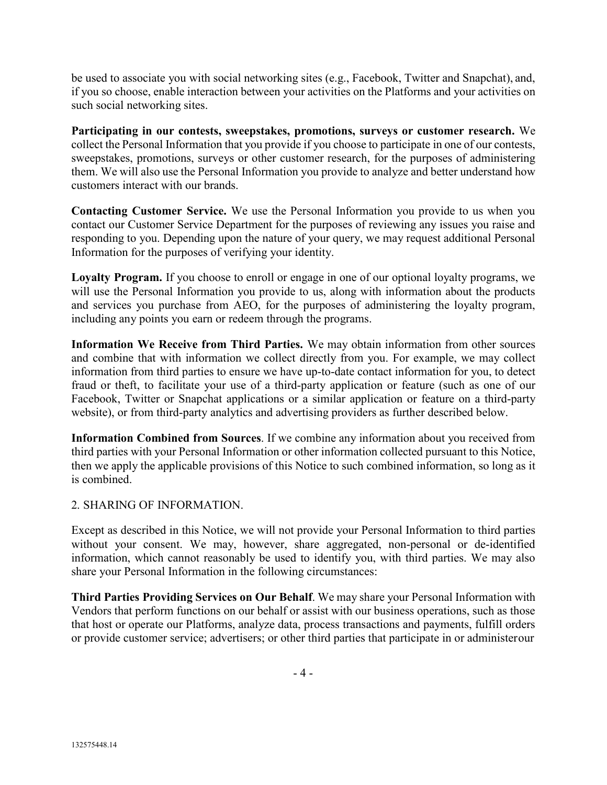be used to associate you with social networking sites (e.g., Facebook, Twitter and Snapchat), and, if you so choose, enable interaction between your activities on the Platforms and your activities on such social networking sites.

**Participating in our contests, sweepstakes, promotions, surveys or customer research.** We collect the Personal Information that you provide if you choose to participate in one of our contests, sweepstakes, promotions, surveys or other customer research, for the purposes of administering them. We will also use the Personal Information you provide to analyze and better understand how customers interact with our brands.

**Contacting Customer Service.** We use the Personal Information you provide to us when you contact our Customer Service Department for the purposes of reviewing any issues you raise and responding to you. Depending upon the nature of your query, we may request additional Personal Information for the purposes of verifying your identity.

**Loyalty Program.** If you choose to enroll or engage in one of our optional loyalty programs, we will use the Personal Information you provide to us, along with information about the products and services you purchase from AEO, for the purposes of administering the loyalty program, including any points you earn or redeem through the programs.

**Information We Receive from Third Parties.** We may obtain information from other sources and combine that with information we collect directly from you. For example, we may collect information from third parties to ensure we have up-to-date contact information for you, to detect fraud or theft, to facilitate your use of a third-party application or feature (such as one of our Facebook, Twitter or Snapchat applications or a similar application or feature on a third-party website), or from third-party analytics and advertising providers as further described below.

**Information Combined from Sources**. If we combine any information about you received from third parties with your Personal Information or other information collected pursuant to this Notice, then we apply the applicable provisions of this Notice to such combined information, so long as it is combined.

2. SHARING OF INFORMATION.

Except as described in this Notice, we will not provide your Personal Information to third parties without your consent. We may, however, share aggregated, non-personal or de-identified information, which cannot reasonably be used to identify you, with third parties. We may also share your Personal Information in the following circumstances:

**Third Parties Providing Services on Our Behalf**. We may share your Personal Information with Vendors that perform functions on our behalf or assist with our business operations, such as those that host or operate our Platforms, analyze data, process transactions and payments, fulfill orders or provide customer service; advertisers; or other third parties that participate in or administerour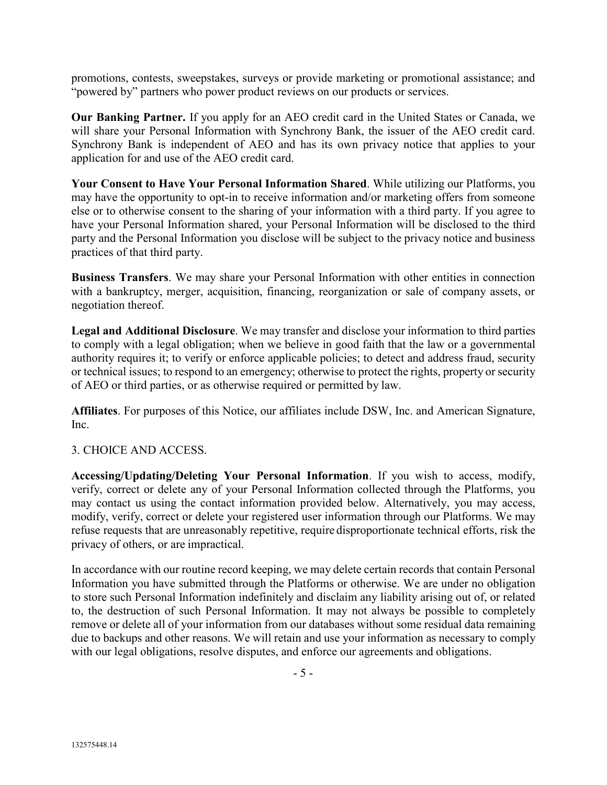promotions, contests, sweepstakes, surveys or provide marketing or promotional assistance; and "powered by" partners who power product reviews on our products or services.

**Our Banking Partner.** If you apply for an AEO credit card in the United States or Canada, we will share your Personal Information with Synchrony Bank, the issuer of the AEO credit card. Synchrony Bank is independent of AEO and has its own privacy notice that applies to your application for and use of the AEO credit card.

**Your Consent to Have Your Personal Information Shared**. While utilizing our Platforms, you may have the opportunity to opt-in to receive information and/or marketing offers from someone else or to otherwise consent to the sharing of your information with a third party. If you agree to have your Personal Information shared, your Personal Information will be disclosed to the third party and the Personal Information you disclose will be subject to the privacy notice and business practices of that third party.

**Business Transfers**. We may share your Personal Information with other entities in connection with a bankruptcy, merger, acquisition, financing, reorganization or sale of company assets, or negotiation thereof.

**Legal and Additional Disclosure**. We may transfer and disclose your information to third parties to comply with a legal obligation; when we believe in good faith that the law or a governmental authority requires it; to verify or enforce applicable policies; to detect and address fraud, security or technical issues; to respond to an emergency; otherwise to protect the rights, property or security of AEO or third parties, or as otherwise required or permitted by law.

**Affiliates**. For purposes of this Notice, our affiliates include DSW, Inc. and American Signature, Inc.

## 3. CHOICE AND ACCESS.

**Accessing/Updating/Deleting Your Personal Information**. If you wish to access, modify, verify, correct or delete any of your Personal Information collected through the Platforms, you may contact us using the contact information provided below. Alternatively, you may access, modify, verify, correct or delete your registered user information through our Platforms. We may refuse requests that are unreasonably repetitive, require disproportionate technical efforts, risk the privacy of others, or are impractical.

In accordance with our routine record keeping, we may delete certain records that contain Personal Information you have submitted through the Platforms or otherwise. We are under no obligation to store such Personal Information indefinitely and disclaim any liability arising out of, or related to, the destruction of such Personal Information. It may not always be possible to completely remove or delete all of your information from our databases without some residual data remaining due to backups and other reasons. We will retain and use your information as necessary to comply with our legal obligations, resolve disputes, and enforce our agreements and obligations.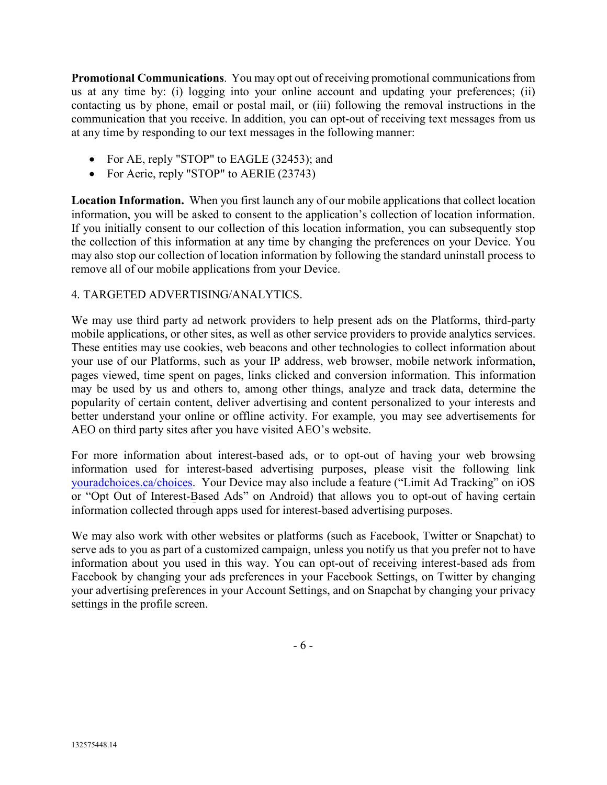**Promotional Communications**. You may opt out of receiving promotional communicationsfrom us at any time by: (i) logging into your online account and updating your preferences; (ii) contacting us by phone, email or postal mail, or (iii) following the removal instructions in the communication that you receive. In addition, you can opt-out of receiving text messages from us at any time by responding to our text messages in the following manner:

- For AE, reply "STOP" to EAGLE (32453); and
- For Aerie, reply "STOP" to AERIE (23743)

**Location Information.** When you first launch any of our mobile applications that collect location information, you will be asked to consent to the application's collection of location information. If you initially consent to our collection of this location information, you can subsequently stop the collection of this information at any time by changing the preferences on your Device. You may also stop our collection of location information by following the standard uninstall process to remove all of our mobile applications from your Device.

## 4. TARGETED ADVERTISING/ANALYTICS.

We may use third party ad network providers to help present ads on the Platforms, third-party mobile applications, or other sites, as well as other service providers to provide analytics services. These entities may use cookies, web beacons and other technologies to collect information about your use of our Platforms, such as your IP address, web browser, mobile network information, pages viewed, time spent on pages, links clicked and conversion information. This information may be used by us and others to, among other things, analyze and track data, determine the popularity of certain content, deliver advertising and content personalized to your interests and better understand your online or offline activity. For example, you may see advertisements for AEO on third party sites after you have visited AEO's website.

For more information about interest-based ads, or to opt-out of having your web browsing information used for interest-based advertising purposes, please visit the following link [youradchoices.ca/choices.](https://youradchoices.ca/) Your Device may also include a feature ("Limit Ad Tracking" on iOS or "Opt Out of Interest-Based Ads" on Android) that allows you to opt-out of having certain information collected through apps used for interest-based advertising purposes.

We may also work with other websites or platforms (such as Facebook, Twitter or Snapchat) to serve ads to you as part of a customized campaign, unless you notify us that you prefer not to have information about you used in this way. You can opt-out of receiving interest-based ads from Facebook by changing your ads preferences in your Facebook Settings, on Twitter by changing your advertising preferences in your Account Settings, and on Snapchat by changing your privacy settings in the profile screen.

- 6 -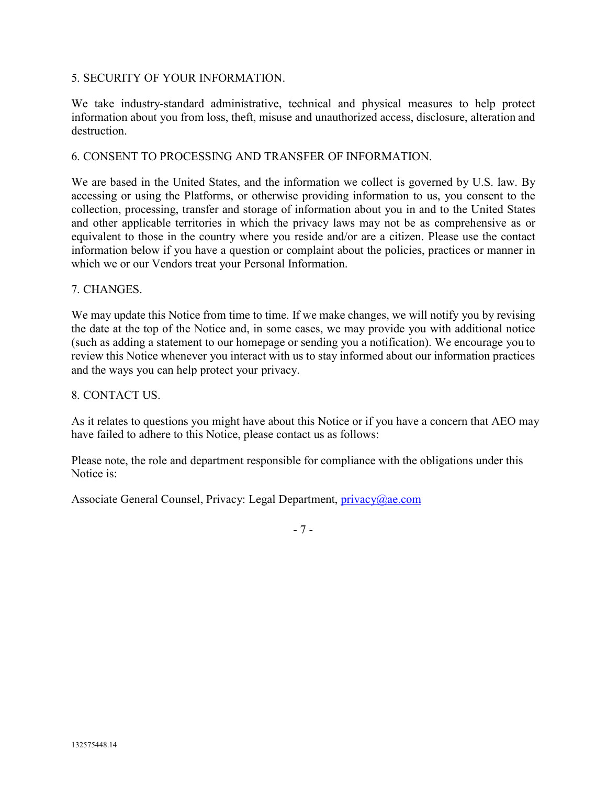## 5. SECURITY OF YOUR INFORMATION.

We take industry-standard administrative, technical and physical measures to help protect information about you from loss, theft, misuse and unauthorized access, disclosure, alteration and destruction.

### 6. CONSENT TO PROCESSING AND TRANSFER OF INFORMATION.

We are based in the United States, and the information we collect is governed by U.S. law. By accessing or using the Platforms, or otherwise providing information to us, you consent to the collection, processing, transfer and storage of information about you in and to the United States and other applicable territories in which the privacy laws may not be as comprehensive as or equivalent to those in the country where you reside and/or are a citizen. Please use the contact information below if you have a question or complaint about the policies, practices or manner in which we or our Vendors treat your Personal Information.

### 7. CHANGES.

We may update this Notice from time to time. If we make changes, we will notify you by revising the date at the top of the Notice and, in some cases, we may provide you with additional notice (such as adding a statement to our homepage or sending you a notification). We encourage you to review this Notice whenever you interact with us to stay informed about our information practices and the ways you can help protect your privacy.

### 8. CONTACT US.

As it relates to questions you might have about this Notice or if you have a concern that AEO may have failed to adhere to this Notice, please contact us as follows:

Please note, the role and department responsible for compliance with the obligations under this Notice is:

Associate General Counsel, Privacy: Legal Department, *privacy@ae.com* 

- 7 -